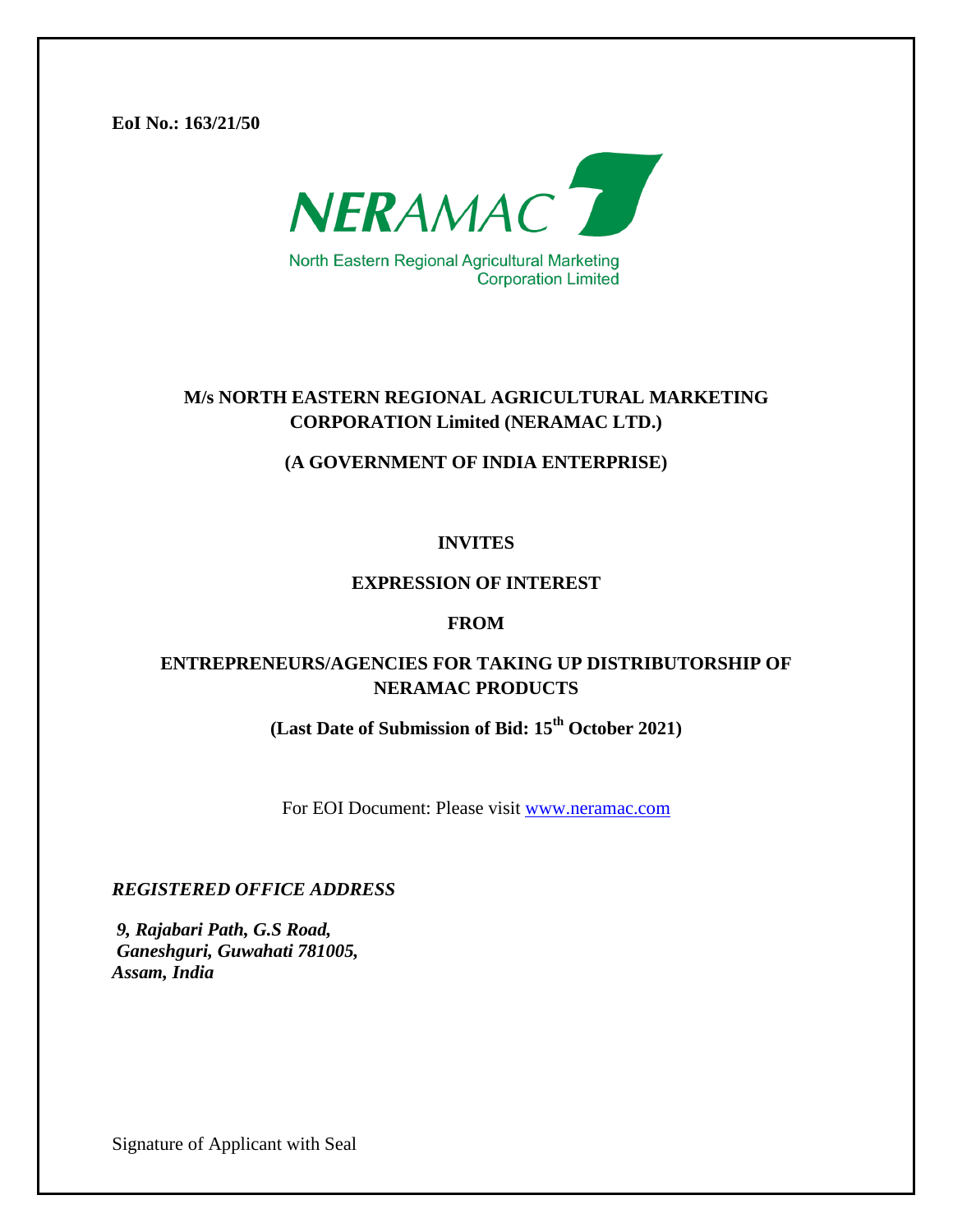**EoI No.: 163/21/50**



North Eastern Regional Agricultural Marketing **Corporation Limited** 

# **M/s NORTH EASTERN REGIONAL AGRICULTURAL MARKETING CORPORATION Limited (NERAMAC LTD.)**

### **(A GOVERNMENT OF INDIA ENTERPRISE)**

### **INVITES**

#### **EXPRESSION OF INTEREST**

#### **FROM**

### **ENTREPRENEURS/AGENCIES FOR TAKING UP DISTRIBUTORSHIP OF NERAMAC PRODUCTS**

# **(Last Date of Submission of Bid: 15th October 2021)**

For EOI Document: Please visit [www.neramac.com](http://www.neramac.com/)

#### *REGISTERED OFFICE ADDRESS*

*9, Rajabari Path, G.S Road, Ganeshguri, Guwahati 781005, Assam, India*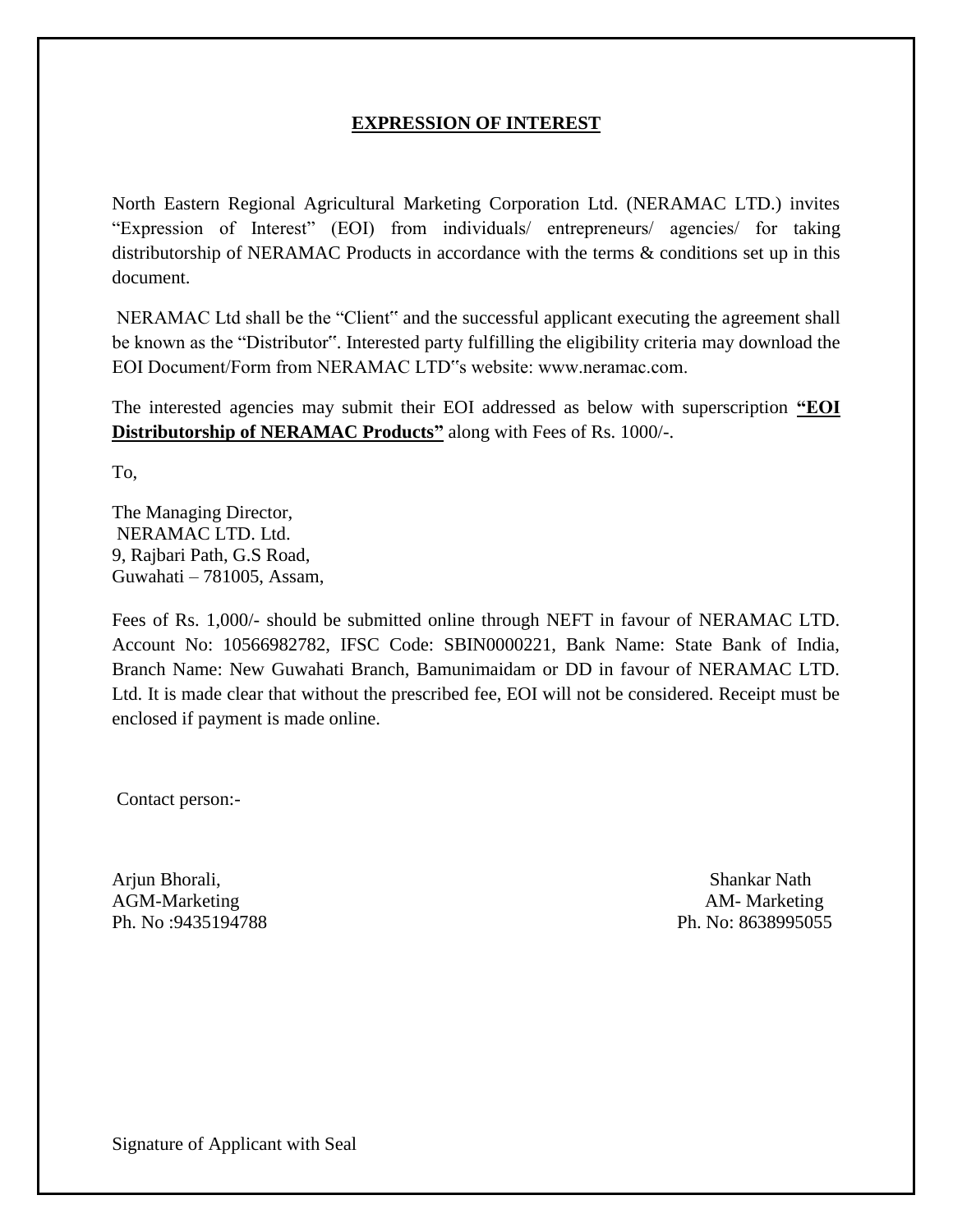#### **EXPRESSION OF INTEREST**

North Eastern Regional Agricultural Marketing Corporation Ltd. (NERAMAC LTD.) invites "Expression of Interest" (EOI) from individuals/ entrepreneurs/ agencies/ for taking distributorship of NERAMAC Products in accordance with the terms & conditions set up in this document.

NERAMAC Ltd shall be the "Client" and the successful applicant executing the agreement shall be known as the "Distributor". Interested party fulfilling the eligibility criteria may download the EOI Document/Form from NERAMAC LTD"s website: www.neramac.com.

The interested agencies may submit their EOI addressed as below with superscription **"EOI Distributorship of NERAMAC Products"** along with Fees of Rs. 1000/-.

To,

The Managing Director, NERAMAC LTD. Ltd. 9, Rajbari Path, G.S Road, Guwahati – 781005, Assam,

Fees of Rs. 1,000/- should be submitted online through NEFT in favour of NERAMAC LTD. Account No: 10566982782, IFSC Code: SBIN0000221, Bank Name: State Bank of India, Branch Name: New Guwahati Branch, Bamunimaidam or DD in favour of NERAMAC LTD. Ltd. It is made clear that without the prescribed fee, EOI will not be considered. Receipt must be enclosed if payment is made online.

Contact person:-

Arjun Bhorali, Shankar Nath AGM-Marketing AGM-Marketing AGM-Marketing AGM-Marketing AGM-Marketing AGM-Marketing AGM-Marketing AGM-Marketing AGM-Ph. No :9435194788 Ph. No: 8638995055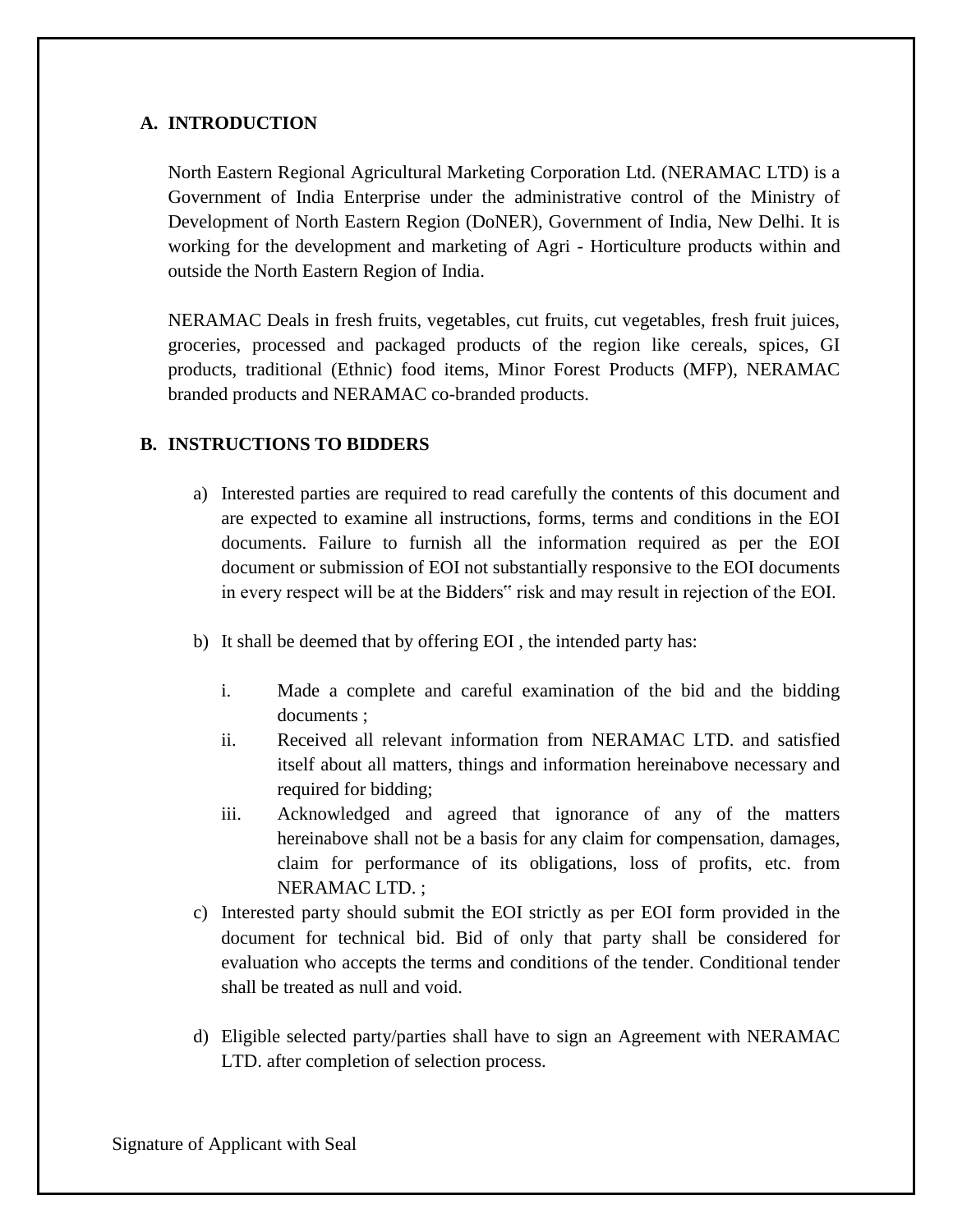#### **A. INTRODUCTION**

North Eastern Regional Agricultural Marketing Corporation Ltd. (NERAMAC LTD) is a Government of India Enterprise under the administrative control of the Ministry of Development of North Eastern Region (DoNER), Government of India, New Delhi. It is working for the development and marketing of Agri - Horticulture products within and outside the North Eastern Region of India.

NERAMAC Deals in fresh fruits, vegetables, cut fruits, cut vegetables, fresh fruit juices, groceries, processed and packaged products of the region like cereals, spices, GI products, traditional (Ethnic) food items, Minor Forest Products (MFP), NERAMAC branded products and NERAMAC co-branded products.

### **B. INSTRUCTIONS TO BIDDERS**

- a) Interested parties are required to read carefully the contents of this document and are expected to examine all instructions, forms, terms and conditions in the EOI documents. Failure to furnish all the information required as per the EOI document or submission of EOI not substantially responsive to the EOI documents in every respect will be at the Bidders" risk and may result in rejection of the EOI.
- b) It shall be deemed that by offering EOI , the intended party has:
	- i. Made a complete and careful examination of the bid and the bidding documents ;
	- ii. Received all relevant information from NERAMAC LTD. and satisfied itself about all matters, things and information hereinabove necessary and required for bidding;
	- iii. Acknowledged and agreed that ignorance of any of the matters hereinabove shall not be a basis for any claim for compensation, damages, claim for performance of its obligations, loss of profits, etc. from NERAMAC LTD. ;
- c) Interested party should submit the EOI strictly as per EOI form provided in the document for technical bid. Bid of only that party shall be considered for evaluation who accepts the terms and conditions of the tender. Conditional tender shall be treated as null and void.
- d) Eligible selected party/parties shall have to sign an Agreement with NERAMAC LTD. after completion of selection process.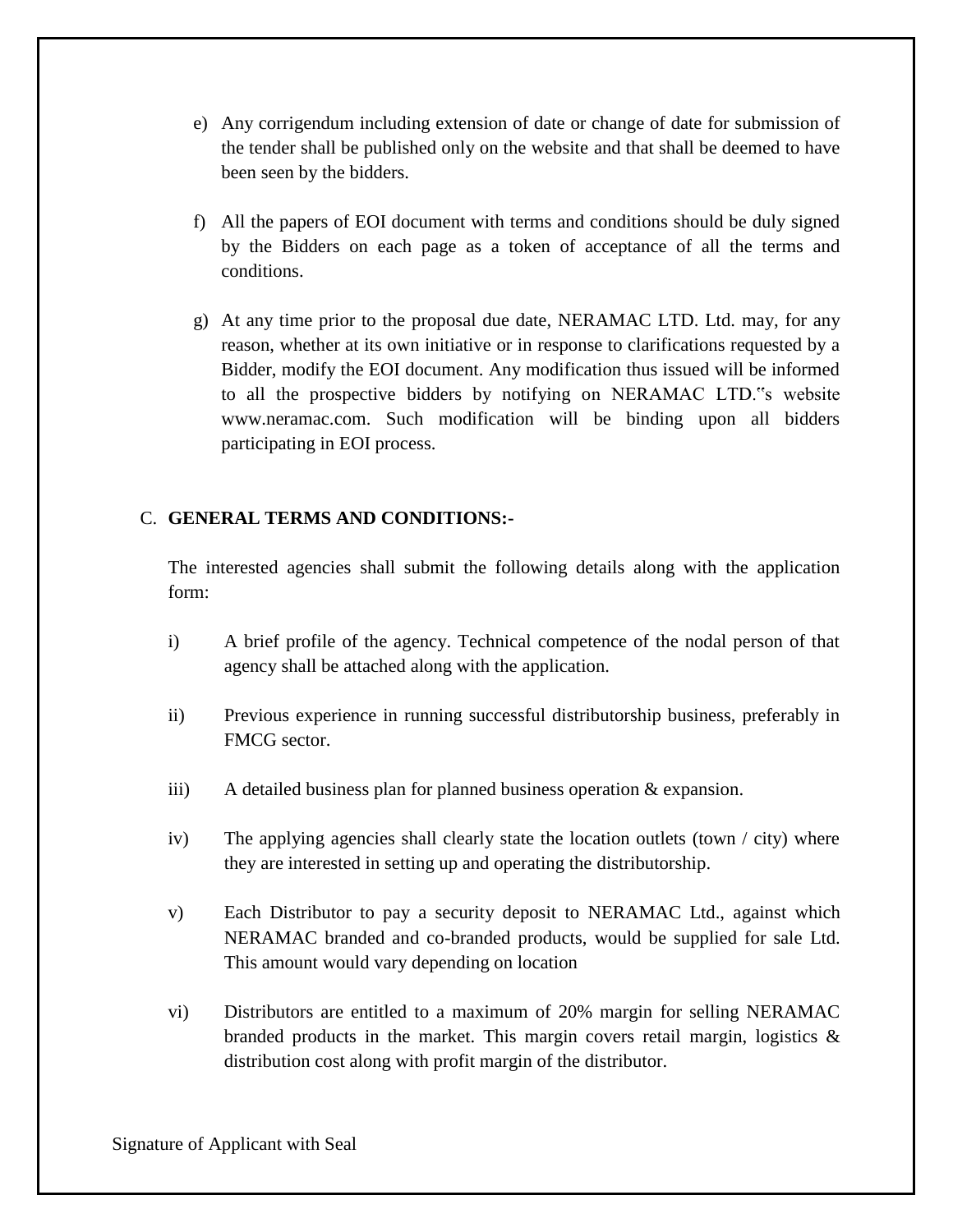- e) Any corrigendum including extension of date or change of date for submission of the tender shall be published only on the website and that shall be deemed to have been seen by the bidders.
- f) All the papers of EOI document with terms and conditions should be duly signed by the Bidders on each page as a token of acceptance of all the terms and conditions.
- g) At any time prior to the proposal due date, NERAMAC LTD. Ltd. may, for any reason, whether at its own initiative or in response to clarifications requested by a Bidder, modify the EOI document. Any modification thus issued will be informed to all the prospective bidders by notifying on NERAMAC LTD."s website www.neramac.com. Such modification will be binding upon all bidders participating in EOI process.

#### C. **GENERAL TERMS AND CONDITIONS:-**

The interested agencies shall submit the following details along with the application form:

- i) A brief profile of the agency. Technical competence of the nodal person of that agency shall be attached along with the application.
- ii) Previous experience in running successful distributorship business, preferably in FMCG sector.
- iii) A detailed business plan for planned business operation & expansion.
- iv) The applying agencies shall clearly state the location outlets (town / city) where they are interested in setting up and operating the distributorship.
- v) Each Distributor to pay a security deposit to NERAMAC Ltd., against which NERAMAC branded and co-branded products, would be supplied for sale Ltd. This amount would vary depending on location
- vi) Distributors are entitled to a maximum of 20% margin for selling NERAMAC branded products in the market. This margin covers retail margin, logistics  $\&$ distribution cost along with profit margin of the distributor.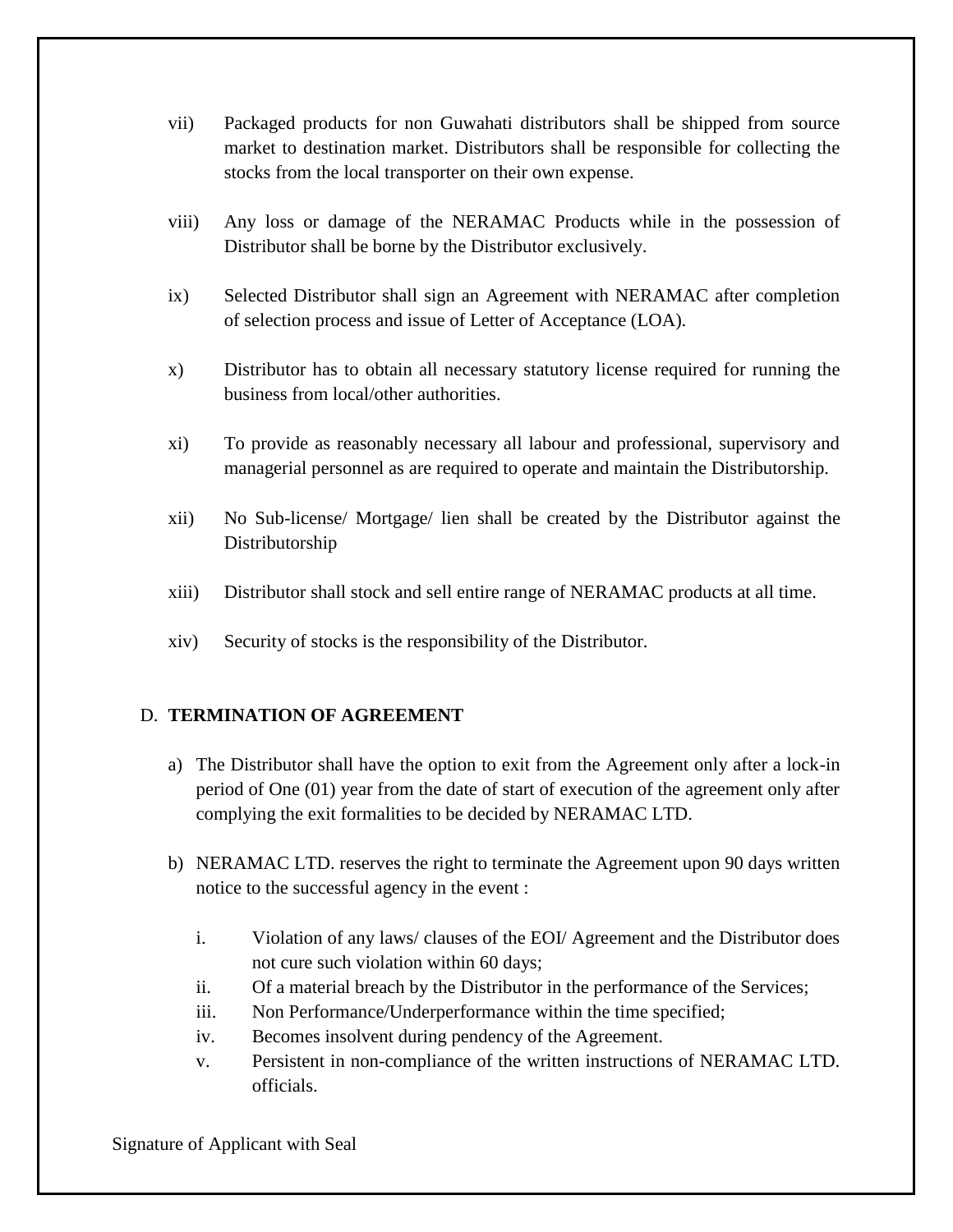- vii) Packaged products for non Guwahati distributors shall be shipped from source market to destination market. Distributors shall be responsible for collecting the stocks from the local transporter on their own expense.
- viii) Any loss or damage of the NERAMAC Products while in the possession of Distributor shall be borne by the Distributor exclusively.
- ix) Selected Distributor shall sign an Agreement with NERAMAC after completion of selection process and issue of Letter of Acceptance (LOA).
- x) Distributor has to obtain all necessary statutory license required for running the business from local/other authorities.
- xi) To provide as reasonably necessary all labour and professional, supervisory and managerial personnel as are required to operate and maintain the Distributorship.
- xii) No Sub-license/ Mortgage/ lien shall be created by the Distributor against the Distributorship
- xiii) Distributor shall stock and sell entire range of NERAMAC products at all time.
- xiv) Security of stocks is the responsibility of the Distributor.

#### D. **TERMINATION OF AGREEMENT**

- a) The Distributor shall have the option to exit from the Agreement only after a lock-in period of One (01) year from the date of start of execution of the agreement only after complying the exit formalities to be decided by NERAMAC LTD.
- b) NERAMAC LTD. reserves the right to terminate the Agreement upon 90 days written notice to the successful agency in the event :
	- i. Violation of any laws/ clauses of the EOI/ Agreement and the Distributor does not cure such violation within 60 days;
	- ii. Of a material breach by the Distributor in the performance of the Services;
	- iii. Non Performance/Underperformance within the time specified;
	- iv. Becomes insolvent during pendency of the Agreement.
	- v. Persistent in non-compliance of the written instructions of NERAMAC LTD. officials.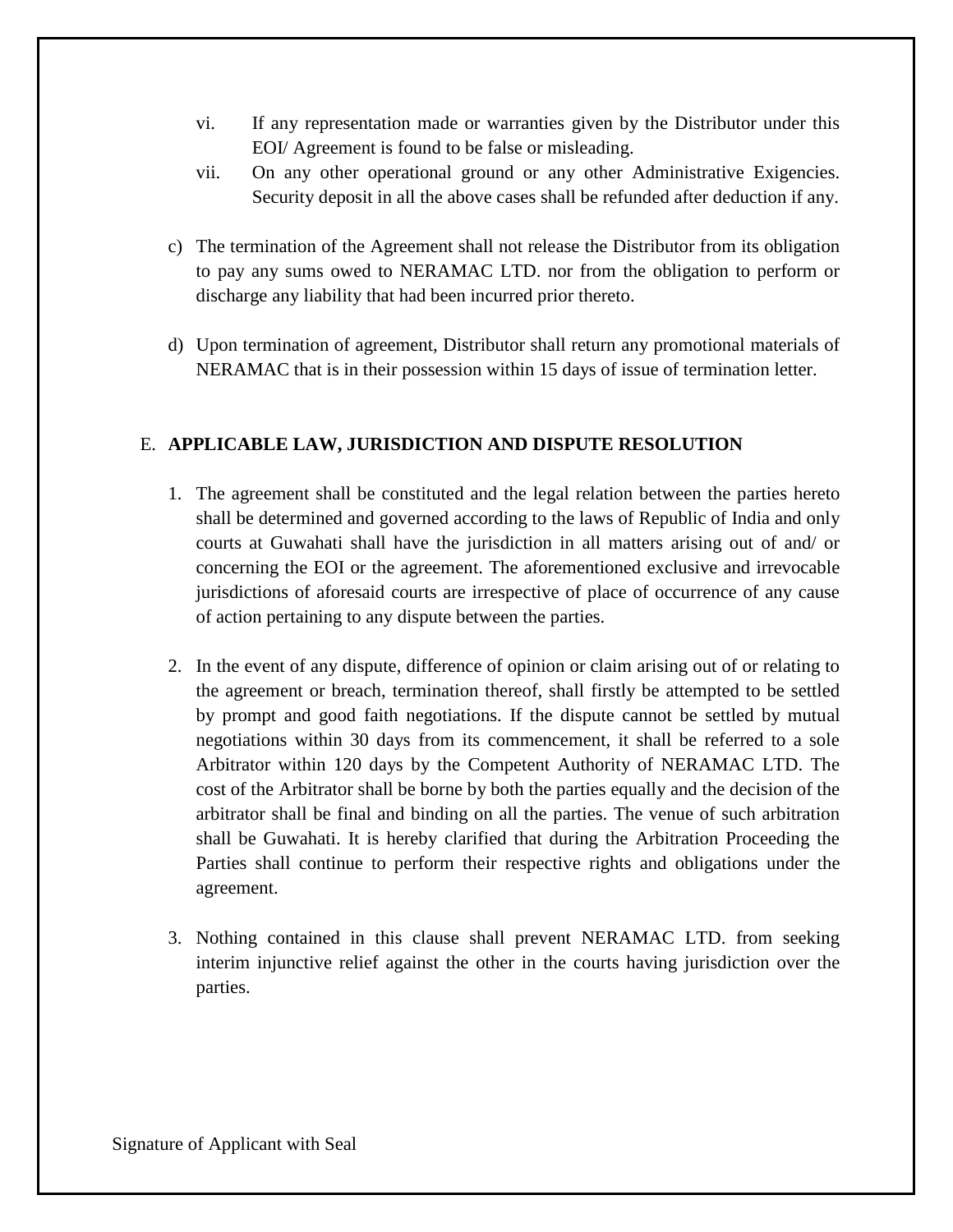- vi. If any representation made or warranties given by the Distributor under this EOI/ Agreement is found to be false or misleading.
- vii. On any other operational ground or any other Administrative Exigencies. Security deposit in all the above cases shall be refunded after deduction if any.
- c) The termination of the Agreement shall not release the Distributor from its obligation to pay any sums owed to NERAMAC LTD. nor from the obligation to perform or discharge any liability that had been incurred prior thereto.
- d) Upon termination of agreement, Distributor shall return any promotional materials of NERAMAC that is in their possession within 15 days of issue of termination letter.

# E. **APPLICABLE LAW, JURISDICTION AND DISPUTE RESOLUTION**

- 1. The agreement shall be constituted and the legal relation between the parties hereto shall be determined and governed according to the laws of Republic of India and only courts at Guwahati shall have the jurisdiction in all matters arising out of and/ or concerning the EOI or the agreement. The aforementioned exclusive and irrevocable jurisdictions of aforesaid courts are irrespective of place of occurrence of any cause of action pertaining to any dispute between the parties.
- 2. In the event of any dispute, difference of opinion or claim arising out of or relating to the agreement or breach, termination thereof, shall firstly be attempted to be settled by prompt and good faith negotiations. If the dispute cannot be settled by mutual negotiations within 30 days from its commencement, it shall be referred to a sole Arbitrator within 120 days by the Competent Authority of NERAMAC LTD. The cost of the Arbitrator shall be borne by both the parties equally and the decision of the arbitrator shall be final and binding on all the parties. The venue of such arbitration shall be Guwahati. It is hereby clarified that during the Arbitration Proceeding the Parties shall continue to perform their respective rights and obligations under the agreement.
- 3. Nothing contained in this clause shall prevent NERAMAC LTD. from seeking interim injunctive relief against the other in the courts having jurisdiction over the parties.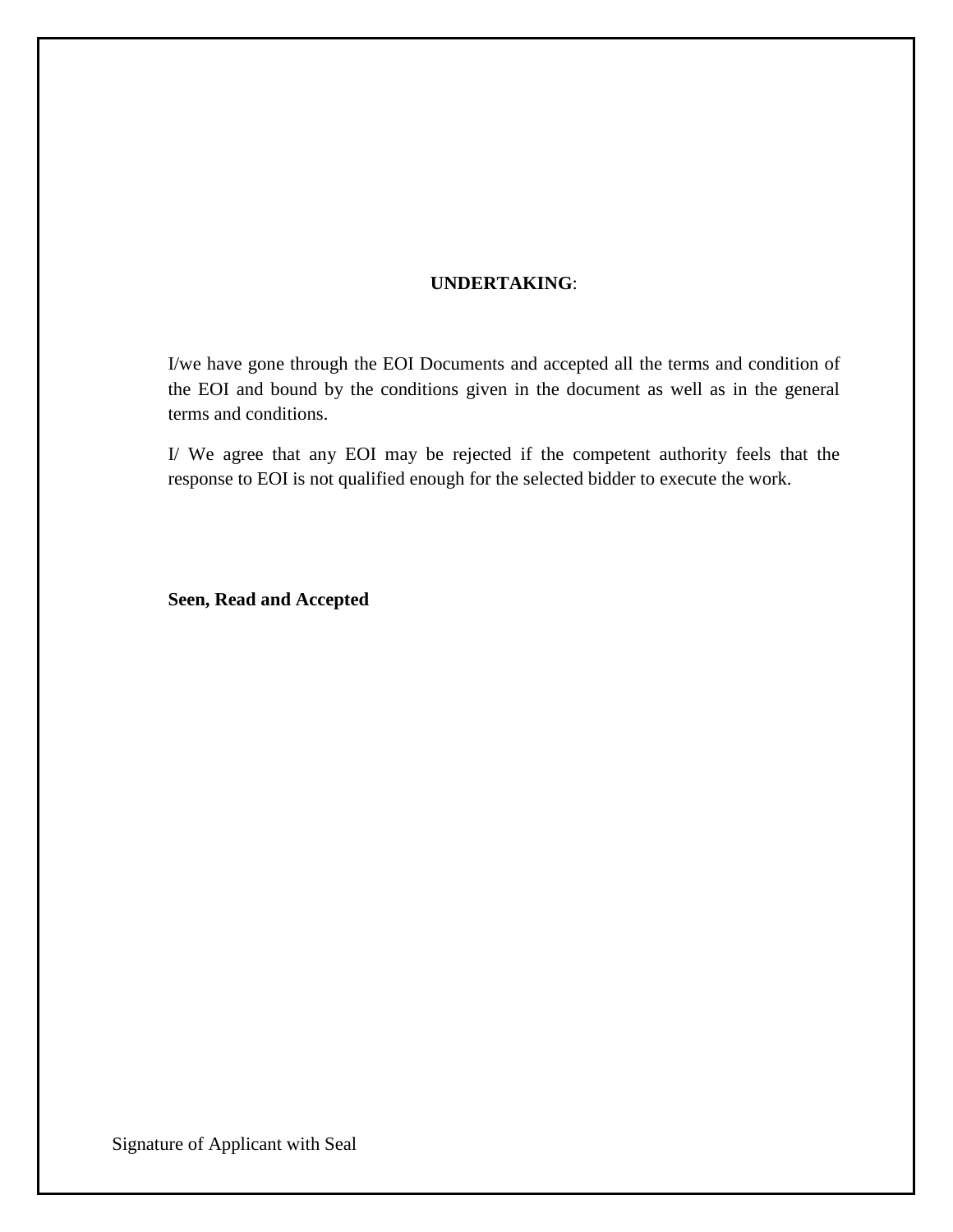#### **UNDERTAKING**:

I/we have gone through the EOI Documents and accepted all the terms and condition of the EOI and bound by the conditions given in the document as well as in the general terms and conditions.

I/ We agree that any EOI may be rejected if the competent authority feels that the response to EOI is not qualified enough for the selected bidder to execute the work.

**Seen, Read and Accepted**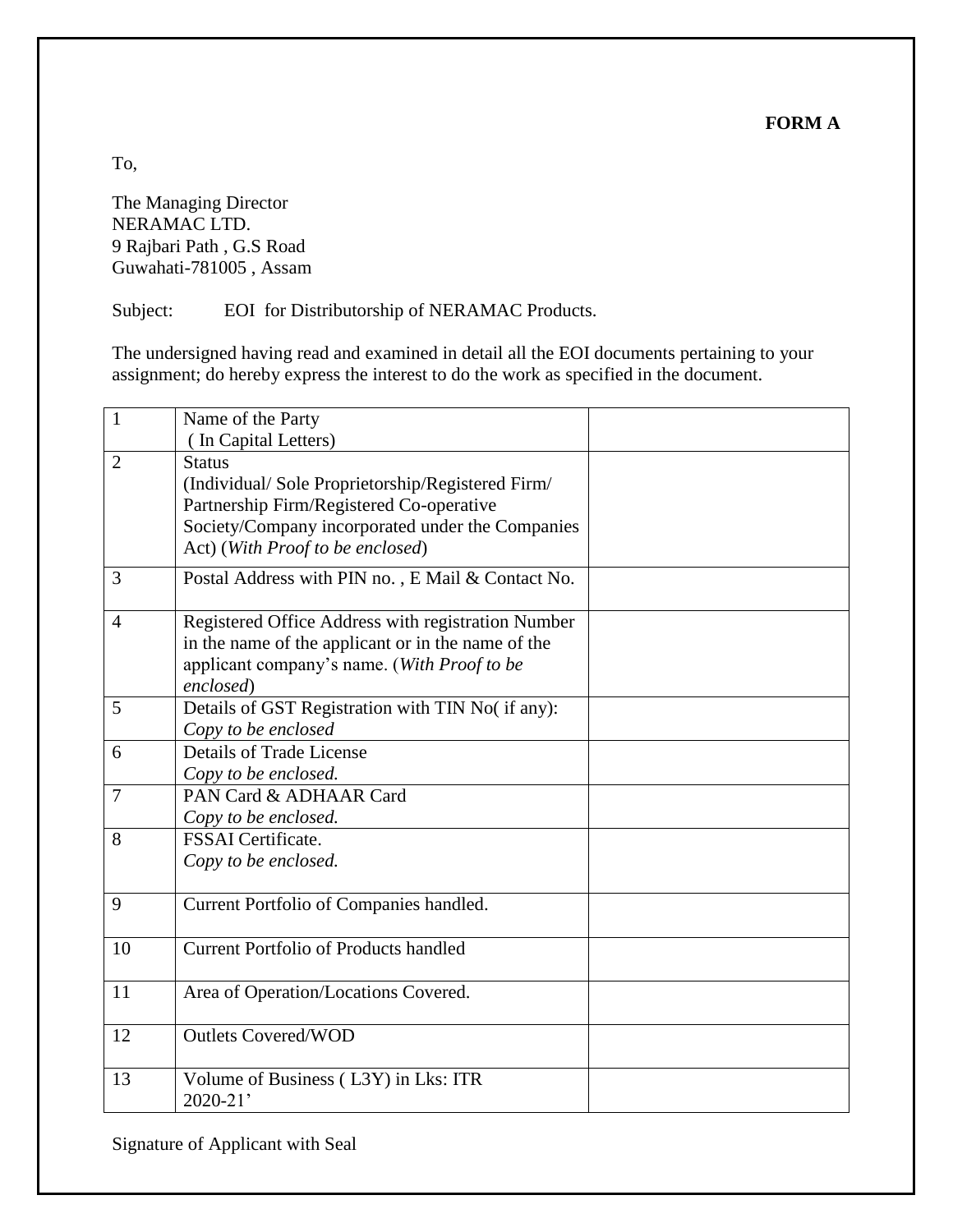**FORM A**

To,

The Managing Director NERAMAC LTD. 9 Rajbari Path , G.S Road Guwahati-781005 , Assam

Subject: EOI for Distributorship of NERAMAC Products.

The undersigned having read and examined in detail all the EOI documents pertaining to your assignment; do hereby express the interest to do the work as specified in the document.

| $\mathbf{1}$   | Name of the Party                                                                                                                                                                                     |  |
|----------------|-------------------------------------------------------------------------------------------------------------------------------------------------------------------------------------------------------|--|
|                | (In Capital Letters)                                                                                                                                                                                  |  |
| $\overline{2}$ | <b>Status</b><br>(Individual/Sole Proprietorship/Registered Firm/<br>Partnership Firm/Registered Co-operative<br>Society/Company incorporated under the Companies<br>Act) (With Proof to be enclosed) |  |
| 3              | Postal Address with PIN no., E Mail & Contact No.                                                                                                                                                     |  |
| $\overline{4}$ | Registered Office Address with registration Number<br>in the name of the applicant or in the name of the<br>applicant company's name. (With Proof to be<br>enclosed)                                  |  |
| 5              | Details of GST Registration with TIN No( if any):<br>Copy to be enclosed                                                                                                                              |  |
| 6              | Details of Trade License<br>Copy to be enclosed.                                                                                                                                                      |  |
| $\overline{7}$ | PAN Card & ADHAAR Card<br>Copy to be enclosed.                                                                                                                                                        |  |
| 8              | FSSAI Certificate.<br>Copy to be enclosed.                                                                                                                                                            |  |
| 9              | Current Portfolio of Companies handled.                                                                                                                                                               |  |
| 10             | <b>Current Portfolio of Products handled</b>                                                                                                                                                          |  |
| 11             | Area of Operation/Locations Covered.                                                                                                                                                                  |  |
| 12             | <b>Outlets Covered/WOD</b>                                                                                                                                                                            |  |
| 13             | Volume of Business (L3Y) in Lks: ITR<br>$2020 - 21'$                                                                                                                                                  |  |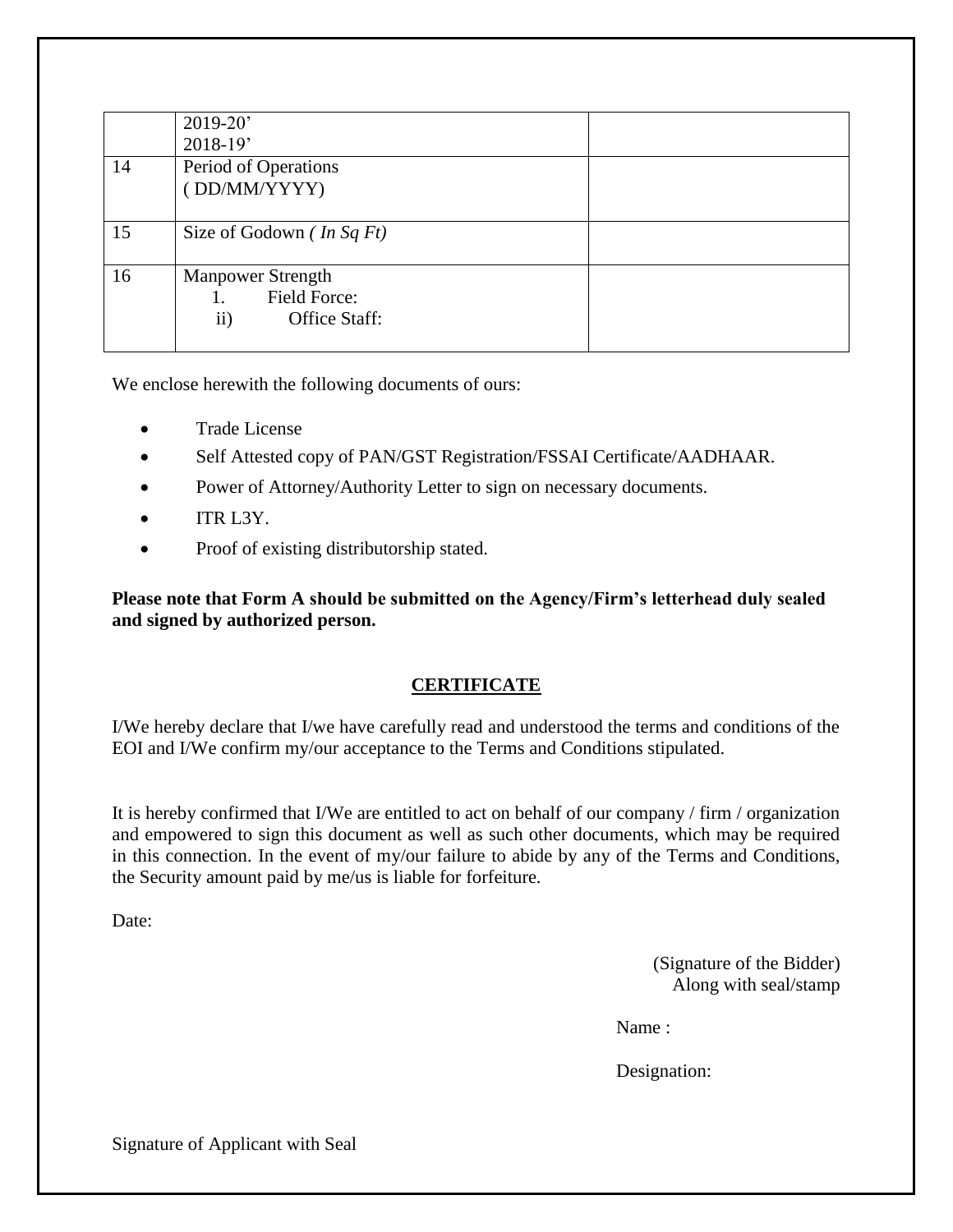|    | $2019-20'$<br>$2018-19'$                                                   |  |
|----|----------------------------------------------------------------------------|--|
| 14 | Period of Operations<br>(DD/MM/YYYY)                                       |  |
| 15 | Size of Godown (In Sq $Ft$ )                                               |  |
| 16 | <b>Manpower Strength</b><br>Field Force:<br>$\mathbf{ii}$<br>Office Staff: |  |

We enclose herewith the following documents of ours:

- Trade License
- Self Attested copy of PAN/GST Registration/FSSAI Certificate/AADHAAR.
- Power of Attorney/Authority Letter to sign on necessary documents.
- $\bullet$  ITR L3Y.
- Proof of existing distributorship stated.

**Please note that Form A should be submitted on the Agency/Firm's letterhead duly sealed and signed by authorized person.**

# **CERTIFICATE**

I/We hereby declare that I/we have carefully read and understood the terms and conditions of the EOI and I/We confirm my/our acceptance to the Terms and Conditions stipulated.

It is hereby confirmed that I/We are entitled to act on behalf of our company / firm / organization and empowered to sign this document as well as such other documents, which may be required in this connection. In the event of my/our failure to abide by any of the Terms and Conditions, the Security amount paid by me/us is liable for forfeiture.

Date:

(Signature of the Bidder) Along with seal/stamp

Name :

Designation: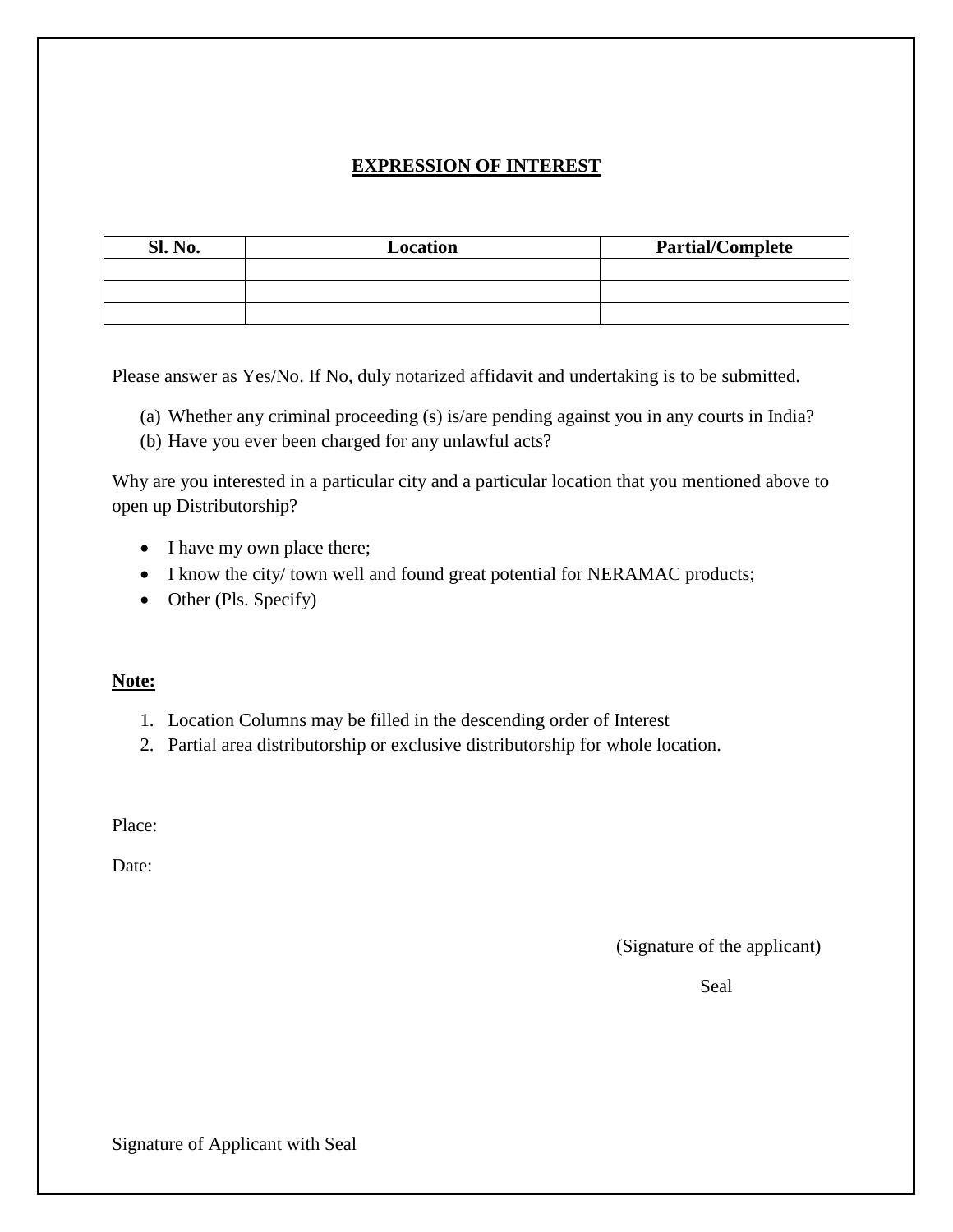# **EXPRESSION OF INTEREST**

| <b>Sl. No.</b> | <b>Location</b> | <b>Partial/Complete</b> |
|----------------|-----------------|-------------------------|
|                |                 |                         |
|                |                 |                         |
|                |                 |                         |

Please answer as Yes/No. If No, duly notarized affidavit and undertaking is to be submitted.

- (a) Whether any criminal proceeding (s) is/are pending against you in any courts in India?
- (b) Have you ever been charged for any unlawful acts?

Why are you interested in a particular city and a particular location that you mentioned above to open up Distributorship?

- I have my own place there;
- I know the city/ town well and found great potential for NERAMAC products;
- Other (Pls. Specify)

#### **Note:**

- 1. Location Columns may be filled in the descending order of Interest
- 2. Partial area distributorship or exclusive distributorship for whole location.

Place:

Date:

(Signature of the applicant)

Seal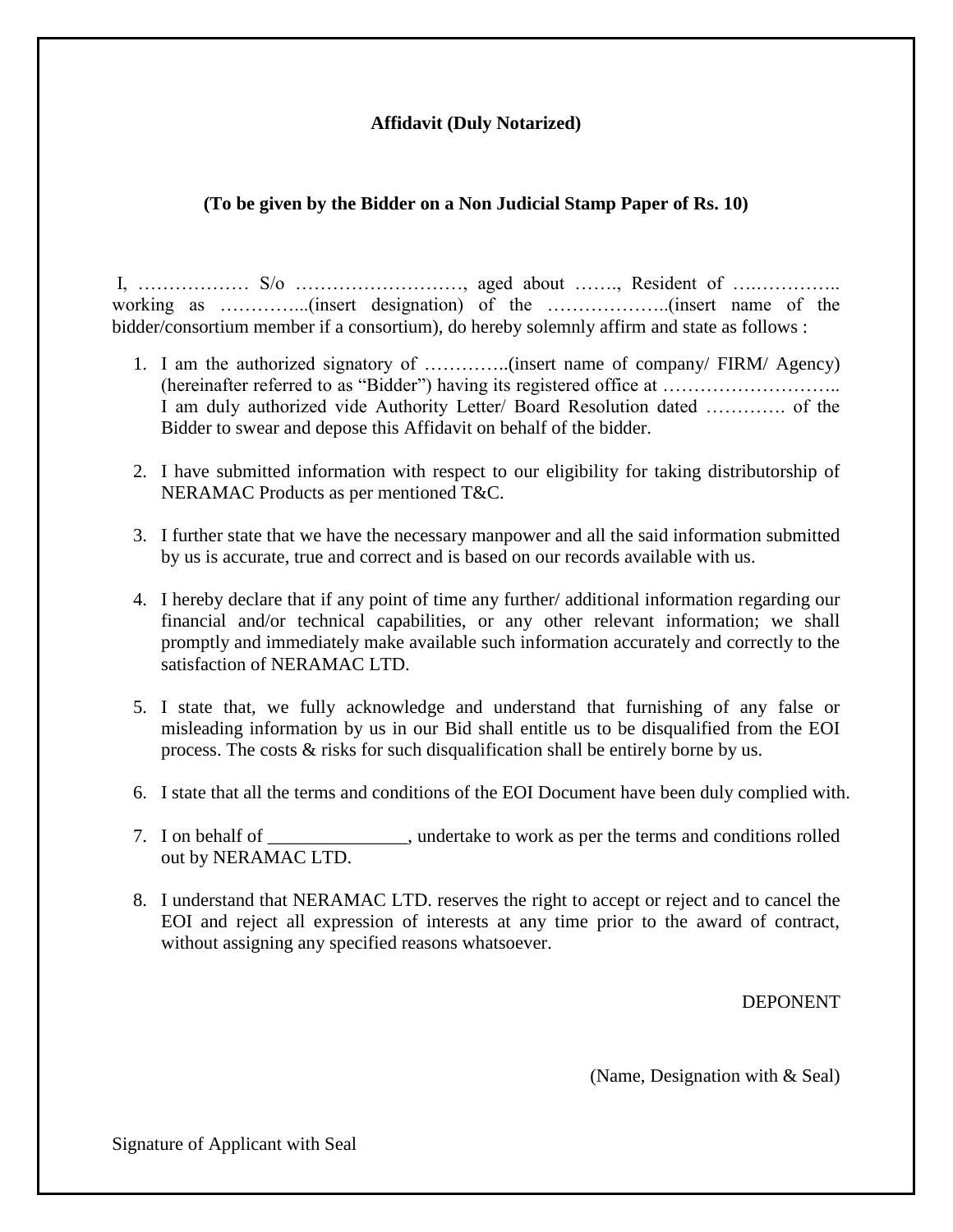### **Affidavit (Duly Notarized)**

### **(To be given by the Bidder on a Non Judicial Stamp Paper of Rs. 10)**

I, ……………… S/o ………………………, aged about ……., Resident of ….………….. working as …………...(insert designation) of the ………………..(insert name of the bidder/consortium member if a consortium), do hereby solemnly affirm and state as follows :

- 1. I am the authorized signatory of …………..(insert name of company/ FIRM/ Agency) (hereinafter referred to as "Bidder") having its registered office at ……………………….. I am duly authorized vide Authority Letter/ Board Resolution dated …………. of the Bidder to swear and depose this Affidavit on behalf of the bidder.
- 2. I have submitted information with respect to our eligibility for taking distributorship of NERAMAC Products as per mentioned T&C.
- 3. I further state that we have the necessary manpower and all the said information submitted by us is accurate, true and correct and is based on our records available with us.
- 4. I hereby declare that if any point of time any further/ additional information regarding our financial and/or technical capabilities, or any other relevant information; we shall promptly and immediately make available such information accurately and correctly to the satisfaction of NERAMAC LTD.
- 5. I state that, we fully acknowledge and understand that furnishing of any false or misleading information by us in our Bid shall entitle us to be disqualified from the EOI process. The costs & risks for such disqualification shall be entirely borne by us.
- 6. I state that all the terms and conditions of the EOI Document have been duly complied with.
- 7. I on behalf of \_\_\_\_\_\_\_\_\_\_\_\_\_\_\_, undertake to work as per the terms and conditions rolled out by NERAMAC LTD.
- 8. I understand that NERAMAC LTD. reserves the right to accept or reject and to cancel the EOI and reject all expression of interests at any time prior to the award of contract, without assigning any specified reasons whatsoever.

DEPONENT

(Name, Designation with & Seal)